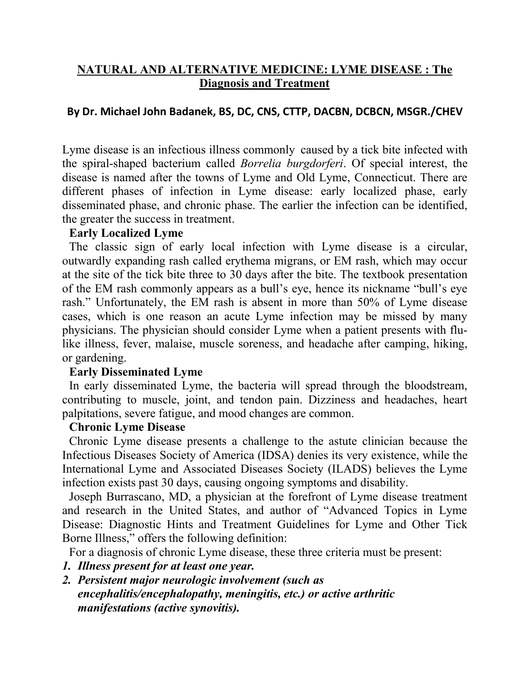# **NATURAL AND ALTERNATIVE MEDICINE: LYME DISEASE : The Diagnosis and Treatment**

# **By Dr. Michael John Badanek, BS, DC, CNS, CTTP, DACBN, DCBCN, MSGR./CHEV**

Lyme disease is an infectious illness commonly caused by a tick bite infected with the spiral-shaped bacterium called *Borrelia burgdorferi*. Of special interest, the disease is named after the towns of Lyme and Old Lyme, Connecticut. There are different phases of infection in Lyme disease: early localized phase, early disseminated phase, and chronic phase. The earlier the infection can be identified, the greater the success in treatment.

#### **Early Localized Lyme**

The classic sign of early local infection with Lyme disease is a circular, outwardly expanding rash called erythema migrans, or EM rash, which may occur at the site of the tick bite three to 30 days after the bite. The textbook presentation of the EM rash commonly appears as a bull's eye, hence its nickname "bull's eye rash." Unfortunately, the EM rash is absent in more than 50% of Lyme disease cases, which is one reason an acute Lyme infection may be missed by many physicians. The physician should consider Lyme when a patient presents with flulike illness, fever, malaise, muscle soreness, and headache after camping, hiking, or gardening.

# **Early Disseminated Lyme**

In early disseminated Lyme, the bacteria will spread through the bloodstream, contributing to muscle, joint, and tendon pain. Dizziness and headaches, heart palpitations, severe fatigue, and mood changes are common.

# **Chronic Lyme Disease**

Chronic Lyme disease presents a challenge to the astute clinician because the Infectious Diseases Society of America (IDSA) denies its very existence, while the International Lyme and Associated Diseases Society (ILADS) believes the Lyme infection exists past 30 days, causing ongoing symptoms and disability.

Joseph Burrascano, MD, a physician at the forefront of Lyme disease treatment and research in the United States, and author of "Advanced Topics in Lyme Disease: Diagnostic Hints and Treatment Guidelines for Lyme and Other Tick Borne Illness," offers the following definition:

For a diagnosis of chronic Lyme disease, these three criteria must be present:

# *1. Illness present for at least one year.*

*2. Persistent major neurologic involvement (such as encephalitis/encephalopathy, meningitis, etc.) or active arthritic manifestations (active synovitis).*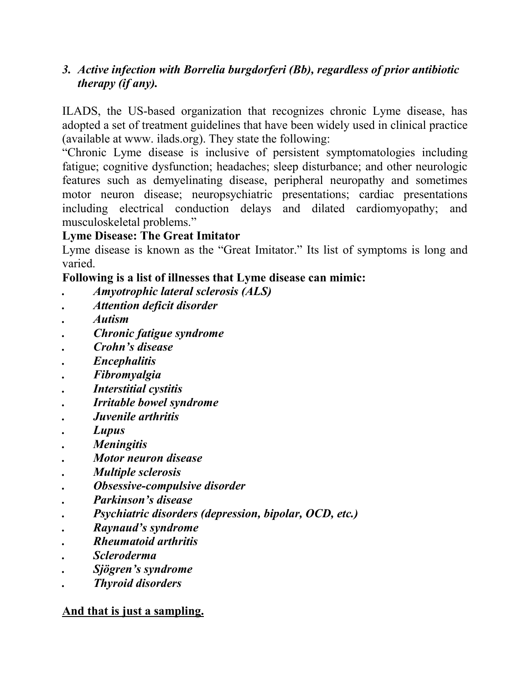# *3. Active infection with Borrelia burgdorferi (Bb), regardless ofprior antibiotic therapy (if any).*

ILADS, the US-based organization that recognizes chronic Lyme disease, has adopted a set of treatment guidelines that have been widely used in clinical practice (available at www. ilads.org). They state the following:

"Chronic Lyme disease is inclusive of persistent symptomatologies including fatigue; cognitive dysfunction; headaches; sleep disturbance; and other neurologic features such as demyelinating disease, peripheral neuropathy and sometimes motor neuron disease; neuropsychiatric presentations; cardiac presentations including electrical conduction delays and dilated cardiomyopathy; and musculoskeletal problems."

# **Lyme Disease: The Great Imitator**

Lyme disease is known as the "Great Imitator." Its list of symptoms is long and varied.

# **Following is a listof illnesses that Lyme disease can mimic:**

- *. Amyotrophic lateral sclerosis (ALS)*
- *. Attention deficit disorder*
- *. Autism*
- *. Chronic fatigue syndrome*
- *. Crohn's disease*
- *. Encephalitis*
- *. Fibromyalgia*
- *. Interstitial cystitis*
- *. Irritable bowel syndrome*
- *. Juvenile arthritis*
- *. Lupus*
- *. Meningitis*
- *. Motor neuron disease*
- *. Multiple sclerosis*
- *. Obsessive-compulsive disorder*
- *. Parkinson's disease*
- *. Psychiatric disorders (depression, bipolar, OCD, etc.)*
- *. Raynaud's syndrome*
- *. Rheumatoid arthritis*
- *. Scleroderma*
- *. Sjögren's syndrome*
- *. Thyroid disorders*

# **And that is just a sampling.**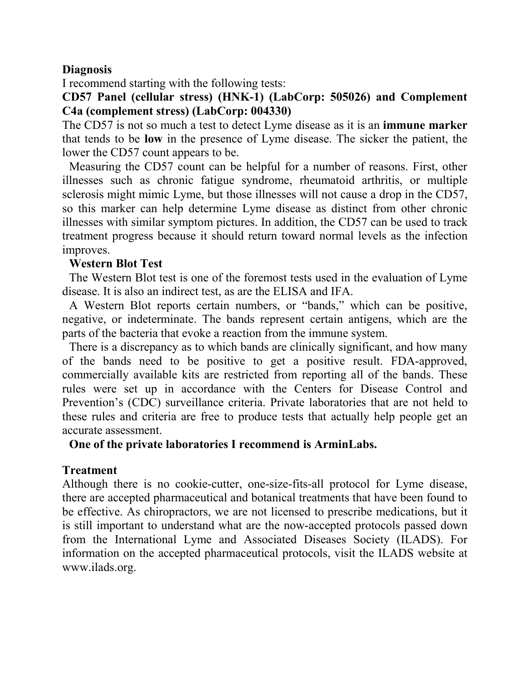#### **Diagnosis**

I recommend starting with the following tests:

**CD57 Panel (cellular stress) (HNK-1) (LabCorp: 505026) and Complement C4a (complement stress) (LabCorp: 004330)**

The CD57 is not so much a test to detect Lyme disease as it is an **immune marker** that tends to be **low** in the presence of Lyme disease. The sicker the patient, the lower the CD57 count appears to be.

Measuring the CD57 count can be helpful for a number of reasons. First, other illnesses such as chronic fatigue syndrome, rheumatoid arthritis, or multiple sclerosis might mimic Lyme, but those illnesses will not cause a drop in the CD57, so this marker can help determine Lyme disease as distinct from other chronic illnesses with similar symptom pictures. In addition, the CD57 can be used to track treatment progress because it should return toward normal levels as the infection improves.

#### **Western Blot Test**

The Western Blot test is one of the foremost tests used in the evaluation of Lyme disease. It is also an indirect test, as are the ELISA and IFA.

A Western Blot reports certain numbers, or "bands," which can be positive, negative, or indeterminate. The bands represent certain antigens, which are the parts of the bacteria that evoke a reaction from the immune system.

There is a discrepancy as to which bands are clinically significant, and how many of the bands need to be positive to get a positive result. FDA-approved, commercially available kits are restricted from reporting all of the bands. These rules were set up in accordance with the Centers for Disease Control and Prevention's (CDC) surveillance criteria. Private laboratories that are not held to these rules and criteria are free to produce tests that actually help people get an accurate assessment.

**One of the private laboratories I recommend is ArminLabs.**

# **Treatment**

Although there is no cookie-cutter, one-size-fits-all protocol for Lyme disease, there are accepted pharmaceutical and botanical treatments that have been found to be effective. As chiropractors, we are not licensed to prescribe medications, but it is still important to understand what are the now-accepted protocols passed down from the International Lyme and Associated Diseases Society (ILADS). For information on the accepted pharmaceutical protocols, visit the ILADS website at www.ilads.org.